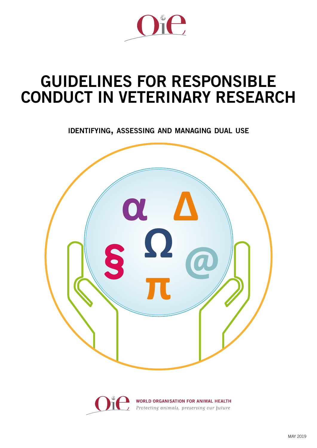

# GUIDELINES FOR RESPONSIBLE CONDUCT IN VETERINARY RESEARCH

identifying, assessing and managing dual use



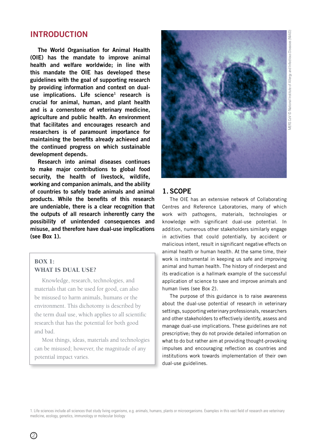# MERS CoV © National Institute of Allergy and Infectious Diseases (NIAID)AERS CoV © National Institute of Allergy and Infectious Diseases (NIAID

# INTRODUCTION

The World Organisation for Animal Health (OIE) has the mandate to improve animal health and welfare worldwide; in line with this mandate the OIE has developed these guidelines with the goal of supporting research by providing information and context on dualuse implications. Life science<sup>1</sup> research is crucial for animal, human, and plant health and is a cornerstone of veterinary medicine, agriculture and public health. An environment that facilitates and encourages research and researchers is of paramount importance for maintaining the benefits already achieved and the continued progress on which sustainable development depends.

Research into animal diseases continues to make major contributions to global food security, the health of livestock, wildlife, working and companion animals, and the ability of countries to safely trade animals and animal products. While the benefits of this research are undeniable, there is a clear recognition that the outputs of all research inherently carry the possibility of unintended consequences and misuse, and therefore have dual-use implications (see Box 1).

# BOX 1: WHAT IS DUAL USE?

Knowledge, research, technologies, and materials that can be used for good, can also be misused to harm animals, humans or the environment. This dichotomy is described by the term dual use, which applies to all scientific research that has the potential for both good and bad.

Most things, ideas, materials and technologies can be misused; however, the magnitude of any potential impact varies.



# 1. SCOPE

The OIE has an extensive network of Collaborating Centres and Reference Laboratories, many of which work with pathogens, materials, technologies or knowledge with significant dual-use potential. In addition, numerous other stakeholders similarly engage in activities that could potentially, by accident or malicious intent, result in significant negative effects on animal health or human health. At the same time, their work is instrumental in keeping us safe and improving animal and human health. The history of rinderpest and its eradication is a hallmark example of the successful application of science to save and improve animals and human lives (see Box 2).

The purpose of this guidance is to raise awareness about the dual-use potential of research in veterinary settings, supporting veterinary professionals, researchers and other stakeholders to effectively identify, assess and manage dual-use implications. These guidelines are not prescriptive; they do not provide detailed information on what to do but rather aim at providing thought-provoking impulses and encouraging reflection as countries and institutions work towards implementation of their own dual-use guidelines.

1. Life sciences include all sciences that study living organisms, e.g. animals, humans, plants or microorganisms. Examples in this vast field of research are veterinary medicine, ecology, genetics, immunology or molecular biology

 $(2)$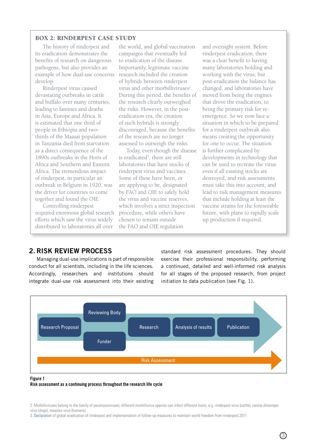# BOX 2: RINDERPEST CASE STUDY

The history of rinderpest and its eradication demonstrates the benefits of research on dangerous pathogens, but also provides an example of how dual-use concerns develop.

Rinderpest virus caused devastating outbreaks in cattle and buffalo over many centuries, leading to famines and deaths in Asia, Europe and Africa. It is estimated that one third of people in Ethiopia and twothirds of the Maasai population in Tanzania died from starvation as a direct consequence of the 1890s outbreaks in the Horn of Africa and Southern and Eastern Africa. The tremendous impact of rinderpest, in particular an outbreak in Belgium in 1920, was the driver for countries to come together and found the OIE.

Controlling rinderpest required enormous global research efforts which saw the virus widely distributed to laboratories all over

the world, and global vaccination campaigns that eventually led to eradication of the disease. Importantly, legitimate vaccine research included the creation of hybrids between rinderpest virus and other morbilliviruses<sup>2</sup>. During this period, the benefits of the research clearly outweighed the risks. However, in the posteradication era, the creation of such hybrids is strongly discouraged, because the benefits of the research are no longer assessed to outweigh the risks.

Today, even though the disease is eradicated<sup>3</sup>, there are still laboratories that have stocks of rinderpest virus and vaccines. Some of these have been, or are applying to be, designated by FAO and OIE to safely hold the virus and vaccine reserves, which involves a strict inspection procedure, while others have chosen to remain outside the FAO and OIE regulation

and oversight system. Before rinderpest eradication, there was a clear benefit to having many laboratories holding and working with the virus; but post-eradication the balance has changed, and laboratories have moved from being the engines that drove the eradication, to being the primary risk for reemergence. So we now face a situation in which to be prepared for a rinderpest outbreak also means creating the opportunity for one to occur. The situation is further complicated by developments in technology that can be used to recreate the virus even if all existing stocks are destroyed, and risk assessments must take this into account, and lead to risk management measures that include holding at least the vaccine strains for the foreseeable future, with plans to rapidly scale up production if required.

# 2. RISK REVIEW PROCESS

Managing dual-use implications is part of responsible conduct for all scientists, including in the life sciences. Accordingly, researchers and institutions should integrate dual-use risk assessment into their existing standard risk assessment procedures. They should exercise their professional responsibility, performing a continued, detailed and well-informed risk analysis for all stages of the proposed research, from project initiation to data publication (see Fig. 1).



#### Figure 1

Risk assessment as a continuing process throughout the research life cycle

<sup>2.</sup> Morbilliviruses belong to the family of paramyxoviruses; different morbillivirus species can infect different hosts, e.g. rinderpest virus (cattle), canine distemper virus (dogs), measles virus (humans)

<sup>3.</sup> [Declaration](http://www.oie.int/fileadmin/Home/eng/Media_Center/docs/pdf/RESO_18_EN.pdf) of global eradication of rinderpest and implementation of follow-up measures to maintain world freedom from rinderpest 2011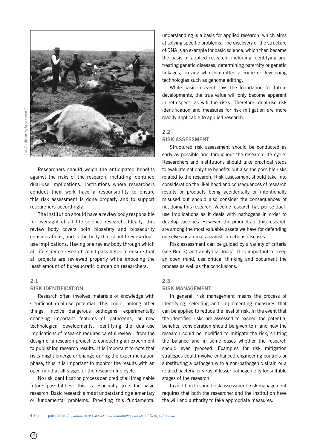

Researchers should weigh the anticipated benefits against the risks of the research, including identified dual-use implications. Institutions where researchers conduct their work have a responsibility to ensure this risk assessment is done properly and to support researchers accordingly.

The institution should have a review body responsible for oversight of all life science research. Ideally, this review body covers both biosafety and biosecurity considerations, and is the body that should review dualuse implications. Having one review body through which all life science research must pass helps to ensure that all projects are reviewed properly while imposing the least amount of bureaucratic burden on researchers.

# 2.1

#### RISK IDENTIFICATION

Research often involves materials or knowledge with significant dual-use potential. This could, among other things, involve dangerous pathogens, experimentally changing important features of pathogens, or new technological developments. Identifying the dual-use implications of research requires careful review – from the design of a research project to conducting an experiment to publishing research results. It is important to note that risks might emerge or change during the experimentation phase, thus it is important to monitor the results with an open mind at all stages of the research life cycle.

No risk identification process can predict all imaginable future possibilities; this is especially true for basic research. Basic research aims at understanding elementary or fundamental problems. Providing this fundamental

understanding is a basis for applied research, which aims at solving specific problems. The discovery of the structure of DNA is an example for basic science, which then became the basis of applied research, including identifying and treating genetic diseases, determining paternity or genetic linkages, proving who committed a crime or developing technologies such as genome editing.

While basic research lays the foundation for future developments, the true value will only become apparent in retrospect, as will the risks. Therefore, dual-use risk identification and measures for risk mitigation are more readily applicable to applied research.

#### 2.2

# RISK ASSESSMENT

Structured risk assessment should be conducted as early as possible and throughout the research life cycle. Researchers and institutions should take practical steps to evaluate not only the benefits but also the possible risks related to the research. Risk assessment should take into consideration the likelihood and consequences of research results or products being accidentally or intentionally misused but should also consider the consequences of not doing this research. Vaccine research has per se dualuse implications as it deals with pathogens in order to develop vaccines. However, the products of this research are among the most valuable assets we have for defending ourselves or animals against infectious diseases.

Risk assessment can be guided by a variety of criteria (see Box 3) and analytical tools<sup>4</sup>. It is important to keep an open mind, use critical thinking and document the process as well as the conclusions.

#### 2.3

#### RISK MANAGEMENT

In general, risk management means the process of identifying, selecting and implementing measures that can be applied to reduce the level of risk. In the event that the identified risks are assessed to exceed the potential benefits, consideration should be given to if and how the research could be modified to mitigate the risk, shifting the balance and in some cases whether the research should even proceed. Examples for risk mitigation strategies could involve enhanced engineering controls or substituting a pathogen with a non-pathogenic strain or a related bacteria or virus of lesser pathogenicity for suitable stages of the research.

In addition to sound risk assessment, risk management requires that both the researcher and the institution have the will and authority to take appropriate measures.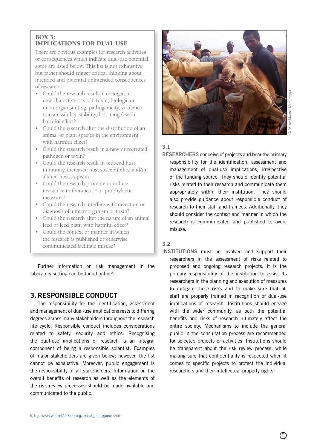# BOX 3: IMPLICATIONS FOR DUAL USE

There are obvious examples for research activities or consequences which indicate dual-use potential, some are listed below. This list is not exhaustive but rather should trigger critical thinking about intended and potential unintended consequences of research.

- Could the research result in changed or new characteristics of a toxin, biologic or microorganism (e.g. pathogenicity, virulence, transmissibility, stability, host range) with harmful effect?
- Could the research alter the distribution of an animal or plant species in the environment with harmful effect?
- Could the research result in a new or recreated pathogen or toxin?
- Could the research result in reduced host immunity, increased host susceptibility, and/or altered host tropism?
- Could the research promote or induce resistance to therapeutic or prophylactic measures?
- Could the research interfere with detection or diagnosis of a microorganism or toxin?
- Could the research alter the nature of an animal feed or feed plant with harmful effect?
- Could the context or manner in which the research is published or otherwise communicated facilitate misuse?

Further information on risk management in the laboratory setting can be found online<sup>5</sup>.

# 3. RESPONSIBLE CONDUCT

The responsibility for the identification, assessment and management of dual-use implications rests to differing degrees across many stakeholders throughout the research life cycle. Responsible conduct includes considerations related to safety, security and ethics. Recognising the dual-use implications of research is an integral component of being a responsible scientist. Examples of major stakeholders are given below; however, the list cannot be exhaustive. Moreover, public engagement is the responsibility of all stakeholders. Information on the overall benefits of research as well as the elements of the risk review processes should be made available and communicated to the public.



# 3.1

RESEARCHERS conceive of projects and bear the primary responsibility for the identification, assessment and management of dual-use implications, irrespective of the funding source. They should identify potential risks related to their research and communicate them appropriately within their institution. They should also provide guidance about responsible conduct of research to their staff and trainees. Additionally, they should consider the context and manner in which the research is communicated and published to avoid misuse.

# 3.2

INSTITUTIONS must be involved and support their researchers in the assessment of risks related to proposed and ongoing research projects. It is the primary responsibility of the institution to assist its researchers in the planning and execution of measures to mitigate these risks and to make sure that all staff are properly trained in recognition of dual-use implications of research. Institutions should engage with the wider community, as both the potential benefits and risks of research ultimately affect the entire society. Mechanisms to include the general public in the consultation process are recommended for selected projects or activities. Institutions should be transparent about the risk review process, while making sure that confidentiality is respected when it comes to specific projects to protect the individual researchers and their intellectual property rights.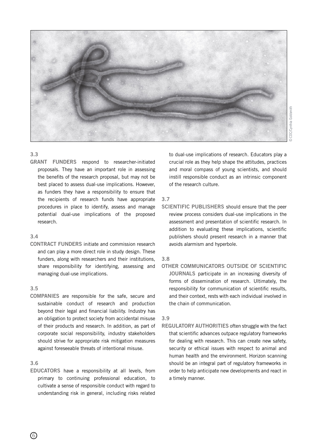

### 3.3

GRANT FUNDERS respond to researcher-initiated proposals. They have an important role in assessing the benefits of the research proposal, but may not be best placed to assess dual-use implications. However, as funders they have a responsibility to ensure that the recipients of research funds have appropriate procedures in place to identify, assess and manage potential dual-use implications of the proposed research.

### 3.4

CONTRACT FUNDERS initiate and commission research and can play a more direct role in study design. These funders, along with researchers and their institutions, share responsibility for identifying, assessing and managing dual-use implications.

## 3.5

COMPANIES are responsible for the safe, secure and sustainable conduct of research and production beyond their legal and financial liability. Industry has an obligation to protect society from accidental misuse of their products and research. In addition, as part of corporate social responsibility, industry stakeholders should strive for appropriate risk mitigation measures against foreseeable threats of intentional misuse.

# 3.6

EDUCATORS have a responsibility at all levels, from primary to continuing professional education, to cultivate a sense of responsible conduct with regard to understanding risk in general, including risks related to dual-use implications of research. Educators play a crucial role as they help shape the attitudes, practices and moral compass of young scientists, and should instill responsible conduct as an intrinsic component of the research culture.

# 3.7

SCIENTIFIC PUBLISHERS should ensure that the peer review process considers dual-use implications in the assessment and presentation of scientific research. In addition to evaluating these implications, scientific publishers should present research in a manner that avoids alarmism and hyperbole.

## 3.8

OTHER COMMUNICATORS OUTSIDE OF SCIENTIFIC JOURNALS participate in an increasing diversity of forms of dissemination of research. Ultimately, the responsibility for communication of scientific results, and their context, rests with each individual involved in the chain of communication.

# 3.9

REGULATORY AUTHORITIES often struggle with the fact that scientific advances outpace regulatory frameworks for dealing with research. This can create new safety, security or ethical issues with respect to animal and human health and the environment. Horizon scanning should be an integral part of regulatory frameworks in order to help anticipate new developments and react in a timely manner.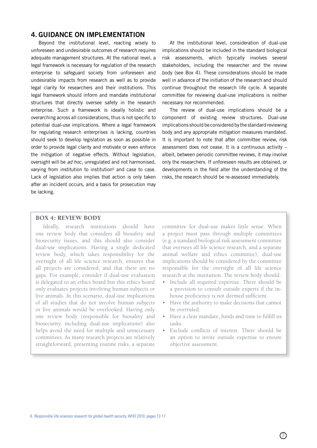# 4. GUIDANCE ON IMPLEMENTATION

Beyond the institutional level, reacting wisely to unforeseen and undesirable outcomes of research requires adequate management structures. At the national level, a legal framework is necessary for regulation of the research enterprise to safeguard society from unforeseen and undesirable impacts from research as well as to provide legal clarity for researchers and their institutions. This legal framework should inform and mandate institutional structures that directly oversee safety in the research enterprise. Such a framework is ideally holistic and overarching across all considerations, thus is not specific to potential dual-use implications. Where a legal framework for regulating research enterprises is lacking, countries should seek to develop legislation as soon as possible in order to provide legal clarity and motivate or even enforce the mitigation of negative effects. Without legislation, oversight will be *ad hoc*, unregulated and not harmonised, varying from institution to institution<sup>6</sup> and case to case. Lack of legislation also implies that action is only taken after an incident occurs, and a basis for prosecution may be lacking.

At the institutional level, consideration of dual-use implications should be included in the standard biological risk assessments, which typically involves several stakeholders, including the researcher and the review body (see Box 4). These considerations should be made well in advance of the initiation of the research and should continue throughout the research life cycle. A separate committee for reviewing dual-use implications is neither necessary nor recommended.

The review of dual-use implications should be a component of existing review structures. Dual-use implications should be considered by the standard reviewing body and any appropriate mitigation measures mandated. It is important to note that after committee review, risk assessment does not cease. It is a continuous activity – albeit, between periodic committee reviews, it may involve only the researchers. If unforeseen results are obtained, or developments in the field alter the understanding of the risks, the research should be re-assessed immediately.

# BOX 4: REVIEW BODY

Ideally, research institutions should have one review body that considers all biosafety and biosecurity issues, and this should also consider dual-use implications. Having a single dedicated review body, which takes responsibility for the oversight of all life science research, ensures that all projects are considered, and that there are no gaps. For example, consider if dual-use evaluation is delegated to an ethics board but this ethics board only evaluates projects involving human subjects or live animals. In this scenario, dual-use implications of all studies that do not involve human subjects or live animals would be overlooked. Having only one review body (responsible for biosafety and biosecurity, including dual-use implications) also helps avoid the need for multiple and unnecessary committees. As many research projects are relatively straightforward, presenting routine risks, a separate

committee for dual-use makes little sense. When a project must pass through multiple committees (e.g. a standard biological risk assessment committee that oversees all life science research, and a separate animal welfare and ethics committee), dual-use implications should be considered by the committee responsible for the oversight of all life science research at the institution. The review body should:

- Include all required expertise. There should be a provision to consult outside experts if the inhouse proficiency is not deemed sufficient.
- Have the authority to make decisions that cannot be overruled.
- Have a clear mandate, funds and time to fulfill its tasks.
- Exclude conflicts of interest. There should be an option to invite outside expertise to ensure objective assessment.